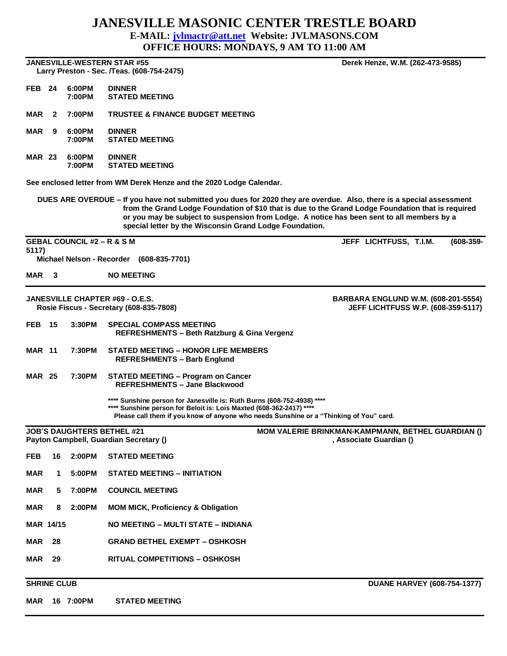## **JANESVILLE MASONIC CENTER TRESTLE BOARD**

**E-MAIL: [jvlmactr@att.net](mailto:jvlmactr@att.net) Website: JVLMASONS.COM**

**OFFICE HOURS: MONDAYS, 9 AM TO 11:00 AM**

**JANESVILLE-WESTERN STAR #55 Derek Henze, W.M. (262-473-9585) Larry Preston - Sec. /Teas. (608-754-2475)** 

**FEB 24 6:00PM DINNER STATED MEETING** 

**MAR 2 7:00PM TRUSTEE & FINANCE BUDGET MEETING**

**MAR 9 6:00PM DINNER 7:00PM STATED MEETING**

**MAR 23 6:00PM DINNER 7:00PM STATED MEETING**

**See enclosed letter from WM Derek Henze and the 2020 Lodge Calendar.** 

**DUES ARE OVERDUE – If you have not submitted you dues for 2020 they are overdue. Also, there is a special assessment from the Grand Lodge Foundation of \$10 that is due to the Grand Lodge Foundation that is required or you may be subject to suspension from Lodge. A notice has been sent to all members by a special letter by the Wisconsin Grand Lodge Foundation.**

**GEBAL COUNCIL #2 – R & S M JEFF LICHTFUSS, T.I.M. (608-359- 5117) Michael Nelson - Recorder (608-835-7701) MAR 3 NO MEETING JANESVILLE CHAPTER #69 - O.E.S. BARBARA ENGLUND W.M. (608-201-5554) Rosie Fiscus - Secretary (608-835-7808) JEFF LICHTFUSS W.P. (608-359-5117) FEB 15 3:30PM SPECIAL COMPASS MEETING REFRESHMENTS – Beth Ratzburg & Gina Vergenz MAR 11 7:30PM STATED MEETING – HONOR LIFE MEMBERS REFRESHMENTS – Barb Englund MAR 25 7:30PM STATED MEETING – Program on Cancer REFRESHMENTS – Jane Blackwood \*\*\*\* Sunshine person for Janesville is: Ruth Burns (608-752-4938) \*\*\*\* \*\*\*\* Sunshine person for Beloit is: Lois Maxted (608-362-2417) \*\*\*\* Please call them if you know of anyone who needs Sunshine or a "Thinking of You" card. JOB'S DAUGHTERS BETHEL #21 MOM VALERIE BRINKMAN-KAMPMANN, BETHEL GUARDIAN ()** Payton Campbell, Guardian Secretary () **Contract Contract Contract Contract Contract Contract Contract Contract Contract Contract Contract Contract Contract Contract Contract Contract Contract Contract Contract Contract Co FEB 16 2:00PM STATED MEETING MAR 1 5:00PM STATED MEETING – INITIATION MAR 5 7:00PM COUNCIL MEETING MAR 8 2:00PM MOM MICK, Proficiency & Obligation MAR 14/15 NO MEETING – MULTI STATE – INDIANA MAR 28 GRAND BETHEL EXEMPT – OSHKOSH**

**MAR 29 RITUAL COMPETITIONS – OSHKOSH** 

**MAR 16 7:00PM STATED MEETING**

**SHRINE CLUB CLUB CLUB CLUB**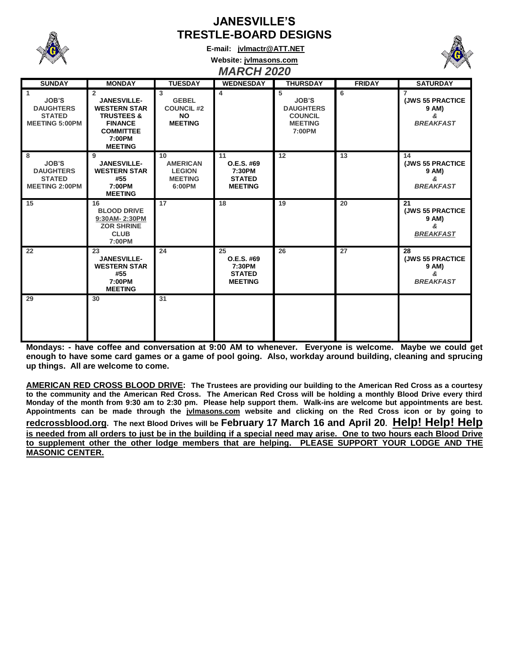

## **JANESVILLE'S TRESTLE-BOARD DESIGNS**

**E-mail: [jvlmactr@ATT.NET](mailto:jvlmactr@ATT.NET)**



**Website: jvlmasons.com**

## *MARCH 2020*

| <b>SUNDAY</b>                                                                              | <b>MONDAY</b>                                                                                                                                          | <b>TUESDAY</b>                                                                     | <b>WEDNESDAY</b>                                              | <b>THURSDAY</b>                                                                     | <b>FRIDAY</b> | <b>SATURDAY</b>                                                              |
|--------------------------------------------------------------------------------------------|--------------------------------------------------------------------------------------------------------------------------------------------------------|------------------------------------------------------------------------------------|---------------------------------------------------------------|-------------------------------------------------------------------------------------|---------------|------------------------------------------------------------------------------|
| $\mathbf{1}$<br><b>JOB'S</b><br><b>DAUGHTERS</b><br><b>STATED</b><br><b>MEETING 5:00PM</b> | $\overline{2}$<br><b>JANESVILLE-</b><br><b>WESTERN STAR</b><br><b>TRUSTEES &amp;</b><br><b>FINANCE</b><br><b>COMMITTEE</b><br>7:00PM<br><b>MEETING</b> | $\overline{3}$<br><b>GEBEL</b><br><b>COUNCIL #2</b><br><b>NO</b><br><b>MEETING</b> | 4                                                             | 5<br><b>JOB'S</b><br><b>DAUGHTERS</b><br><b>COUNCIL</b><br><b>MEETING</b><br>7:00PM | 6             | $\overline{7}$<br><b>(JWS 55 PRACTICE)</b><br>9 AM)<br>&<br><b>BREAKFAST</b> |
| 8<br><b>JOB'S</b><br><b>DAUGHTERS</b><br><b>STATED</b><br><b>MEETING 2:00PM</b>            | 9<br><b>JANESVILLE-</b><br><b>WESTERN STAR</b><br>#55<br>7:00PM<br><b>MEETING</b>                                                                      | 10<br><b>AMERICAN</b><br><b>LEGION</b><br><b>MEETING</b><br>6:00PM                 | 11<br>O.E.S. #69<br>7:30PM<br><b>STATED</b><br><b>MEETING</b> | 12                                                                                  | 13            | 14<br><b>(JWS 55 PRACTICE)</b><br>9 AM)<br>&<br><b>BREAKFAST</b>             |
| 15                                                                                         | 16<br><b>BLOOD DRIVE</b><br>9:30AM-2:30PM<br><b>ZOR SHRINE</b><br><b>CLUB</b><br>7:00PM                                                                | 17                                                                                 | 18                                                            | 19                                                                                  | 20            | 21<br><b>(JWS 55 PRACTICE)</b><br>9 AM)<br>&<br><b>BREAKFAST</b>             |
| 22                                                                                         | 23<br><b>JANESVILLE-</b><br><b>WESTERN STAR</b><br>#55<br>7:00PM<br><b>MEETING</b>                                                                     | 24                                                                                 | 25<br>O.E.S. #69<br>7:30PM<br><b>STATED</b><br><b>MEETING</b> | 26                                                                                  | 27            | 28<br><b>(JWS 55 PRACTICE</b><br>9 AM)<br>&<br><b>BREAKFAST</b>              |
| 29                                                                                         | 30                                                                                                                                                     | 31                                                                                 |                                                               |                                                                                     |               |                                                                              |

**Mondays: - have coffee and conversation at 9:00 AM to whenever. Everyone is welcome. Maybe we could get enough to have some card games or a game of pool going. Also, workday around building, cleaning and sprucing up things. All are welcome to come.**

**AMERICAN RED CROSS BLOOD DRIVE: The Trustees are providing our building to the American Red Cross as a courtesy to the community and the American Red Cross. The American Red Cross will be holding a monthly Blood Drive every third Monday of the month from 9:30 am to 2:30 pm. Please help support them. Walk-ins are welcome but appointments are best. Appointments can be made through the jvlmasons.com website and clicking on the Red Cross icon or by going to redcrossblood.org. The next Blood Drives will be February 17 March 16 and April 20. Help! Help! Help is needed from all orders to just be in the building if a special need may arise. One to two hours each Blood Drive to supplement other the other lodge members that are helping. PLEASE SUPPORT YOUR LODGE AND THE MASONIC CENTER.**